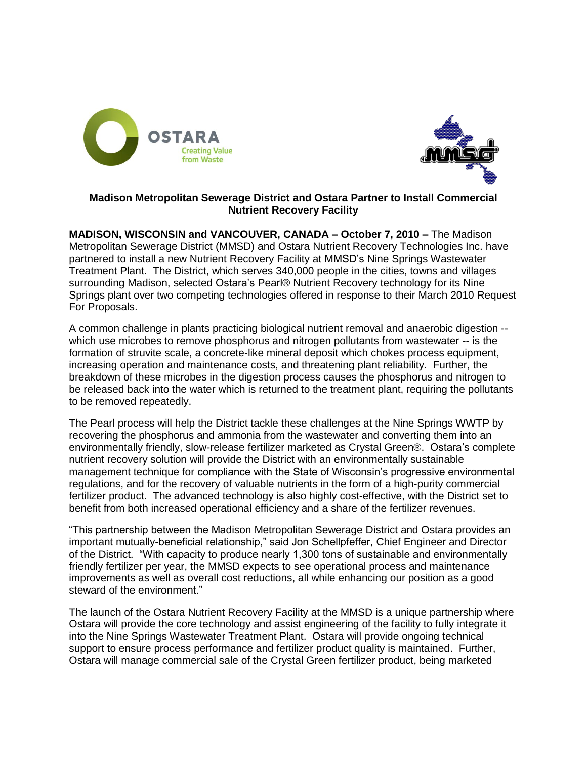



# **Madison Metropolitan Sewerage District and Ostara Partner to Install Commercial Nutrient Recovery Facility**

**MADISON, WISCONSIN and VANCOUVER, CANADA – October 7, 2010 –** The Madison Metropolitan Sewerage District (MMSD) and Ostara Nutrient Recovery Technologies Inc. have partnered to install a new Nutrient Recovery Facility at MMSD's Nine Springs Wastewater Treatment Plant. The District, which serves 340,000 people in the cities, towns and villages surrounding Madison, selected Ostara's Pearl® Nutrient Recovery technology for its Nine Springs plant over two competing technologies offered in response to their March 2010 Request For Proposals.

A common challenge in plants practicing biological nutrient removal and anaerobic digestion - which use microbes to remove phosphorus and nitrogen pollutants from wastewater -- is the formation of struvite scale, a concrete-like mineral deposit which chokes process equipment, increasing operation and maintenance costs, and threatening plant reliability. Further, the breakdown of these microbes in the digestion process causes the phosphorus and nitrogen to be released back into the water which is returned to the treatment plant, requiring the pollutants to be removed repeatedly.

The Pearl process will help the District tackle these challenges at the Nine Springs WWTP by recovering the phosphorus and ammonia from the wastewater and converting them into an environmentally friendly, slow-release fertilizer marketed as Crystal Green®. Ostara's complete nutrient recovery solution will provide the District with an environmentally sustainable management technique for compliance with the State of Wisconsin's progressive environmental regulations, and for the recovery of valuable nutrients in the form of a high-purity commercial fertilizer product. The advanced technology is also highly cost-effective, with the District set to benefit from both increased operational efficiency and a share of the fertilizer revenues.

"This partnership between the Madison Metropolitan Sewerage District and Ostara provides an important mutually-beneficial relationship," said Jon Schellpfeffer, Chief Engineer and Director of the District. "With capacity to produce nearly 1,300 tons of sustainable and environmentally friendly fertilizer per year, the MMSD expects to see operational process and maintenance improvements as well as overall cost reductions, all while enhancing our position as a good steward of the environment."

The launch of the Ostara Nutrient Recovery Facility at the MMSD is a unique partnership where Ostara will provide the core technology and assist engineering of the facility to fully integrate it into the Nine Springs Wastewater Treatment Plant. Ostara will provide ongoing technical support to ensure process performance and fertilizer product quality is maintained. Further, Ostara will manage commercial sale of the Crystal Green fertilizer product, being marketed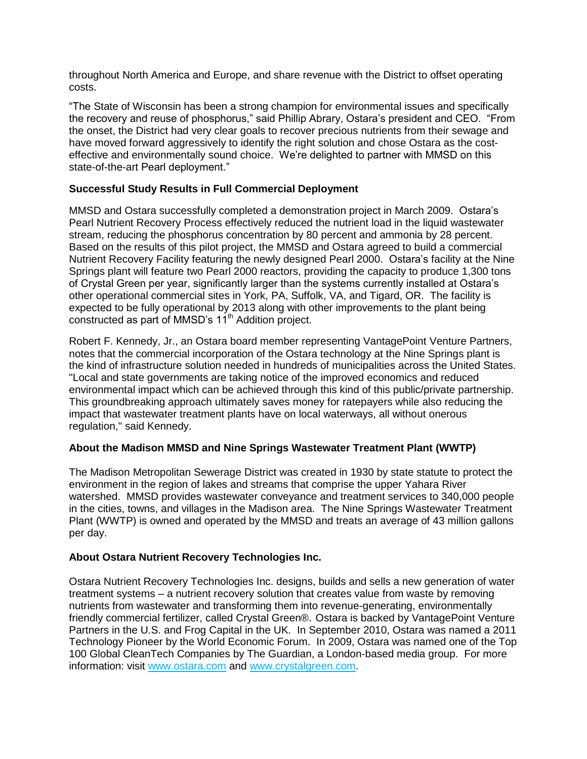throughout North America and Europe, and share revenue with the District to offset operating costs.

"The State of Wisconsin has been a strong champion for environmental issues and specifically the recovery and reuse of phosphorus," said Phillip Abrary, Ostara's president and CEO. "From the onset, the District had very clear goals to recover precious nutrients from their sewage and have moved forward aggressively to identify the right solution and chose Ostara as the costeffective and environmentally sound choice. We're delighted to partner with MMSD on this state-of-the-art Pearl deployment."

### **Successful Study Results in Full Commercial Deployment**

MMSD and Ostara successfully completed a demonstration project in March 2009. Ostara's Pearl Nutrient Recovery Process effectively reduced the nutrient load in the liquid wastewater stream, reducing the phosphorus concentration by 80 percent and ammonia by 28 percent. Based on the results of this pilot project, the MMSD and Ostara agreed to build a commercial Nutrient Recovery Facility featuring the newly designed Pearl 2000. Ostara's facility at the Nine Springs plant will feature two Pearl 2000 reactors, providing the capacity to produce 1,300 tons of Crystal Green per year, significantly larger than the systems currently installed at Ostara's other operational commercial sites in York, PA, Suffolk, VA, and Tigard, OR. The facility is expected to be fully operational by 2013 along with other improvements to the plant being constructed as part of MMSD's 11<sup>th</sup> Addition project.

Robert F. Kennedy, Jr., an Ostara board member representing VantagePoint Venture Partners, notes that the commercial incorporation of the Ostara technology at the Nine Springs plant is the kind of infrastructure solution needed in hundreds of municipalities across the United States. "Local and state governments are taking notice of the improved economics and reduced environmental impact which can be achieved through this kind of this public/private partnership. This groundbreaking approach ultimately saves money for ratepayers while also reducing the impact that wastewater treatment plants have on local waterways, all without onerous regulation," said Kennedy.

### **About the Madison MMSD and Nine Springs Wastewater Treatment Plant (WWTP)**

The Madison Metropolitan Sewerage District was created in 1930 by state statute to protect the environment in the region of lakes and streams that comprise the upper Yahara River watershed. MMSD provides wastewater conveyance and treatment services to 340,000 people in the cities, towns, and villages in the Madison area. The Nine Springs Wastewater Treatment Plant (WWTP) is owned and operated by the MMSD and treats an average of 43 million gallons per day.

### **About Ostara Nutrient Recovery Technologies Inc.**

Ostara Nutrient Recovery Technologies Inc. designs, builds and sells a new generation of water treatment systems – a nutrient recovery solution that creates value from waste by removing nutrients from wastewater and transforming them into revenue-generating, environmentally friendly commercial fertilizer, called Crystal Green®. Ostara is backed by VantagePoint Venture Partners in the U.S. and Frog Capital in the UK. In September 2010, Ostara was named a 2011 Technology Pioneer by the World Economic Forum. In 2009, Ostara was named one of the Top 100 Global CleanTech Companies by The Guardian, a London-based media group. For more information: visit [www.ostara.com](http://www.ostara.com/) and [www.crystalgreen.com.](http://www.crystalgreen.com/)